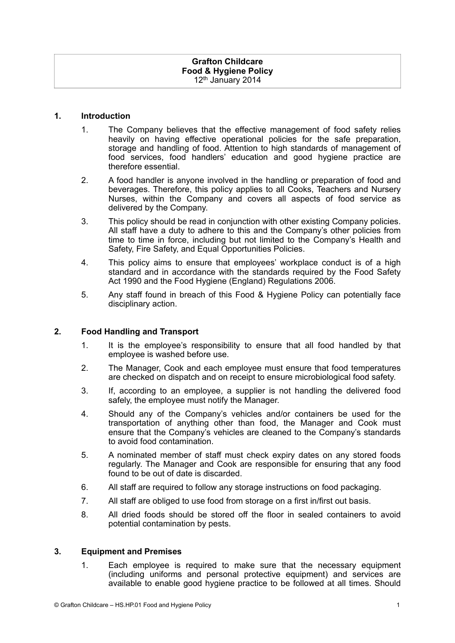#### **1. Introduction**

- 1. The Company believes that the effective management of food safety relies heavily on having effective operational policies for the safe preparation, storage and handling of food. Attention to high standards of management of food services, food handlers' education and good hygiene practice are therefore essential.
- 2. A food handler is anyone involved in the handling or preparation of food and beverages. Therefore, this policy applies to all Cooks, Teachers and Nursery Nurses, within the Company and covers all aspects of food service as delivered by the Company.
- 3. This policy should be read in conjunction with other existing Company policies. All staff have a duty to adhere to this and the Company's other policies from time to time in force, including but not limited to the Company's Health and Safety, Fire Safety, and Equal Opportunities Policies.
- 4. This policy aims to ensure that employees' workplace conduct is of a high standard and in accordance with the standards required by the Food Safety Act 1990 and the Food Hygiene (England) Regulations 2006.
- 5. Any staff found in breach of this Food & Hygiene Policy can potentially face disciplinary action.

## **2. Food Handling and Transport**

- 1. It is the employee's responsibility to ensure that all food handled by that employee is washed before use.
- 2. The Manager, Cook and each employee must ensure that food temperatures are checked on dispatch and on receipt to ensure microbiological food safety.
- 3. If, according to an employee, a supplier is not handling the delivered food safely, the employee must notify the Manager.
- 4. Should any of the Company's vehicles and/or containers be used for the transportation of anything other than food, the Manager and Cook must ensure that the Company's vehicles are cleaned to the Company's standards to avoid food contamination.
- 5. A nominated member of staff must check expiry dates on any stored foods regularly. The Manager and Cook are responsible for ensuring that any food found to be out of date is discarded.
- 6. All staff are required to follow any storage instructions on food packaging.
- 7. All staff are obliged to use food from storage on a first in/first out basis.
- 8. All dried foods should be stored off the floor in sealed containers to avoid potential contamination by pests.

#### **3. Equipment and Premises**

1. Each employee is required to make sure that the necessary equipment (including uniforms and personal protective equipment) and services are available to enable good hygiene practice to be followed at all times. Should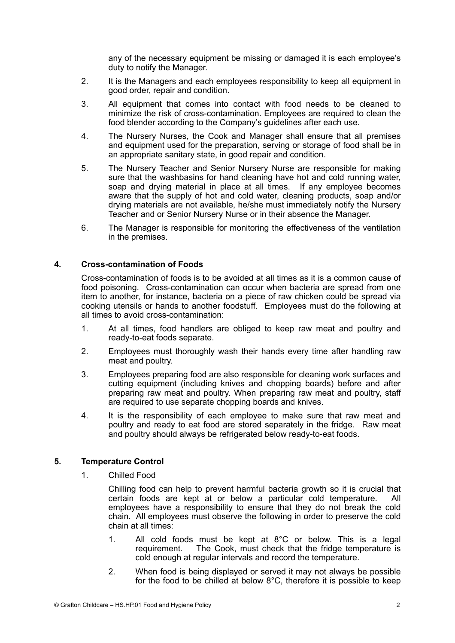any of the necessary equipment be missing or damaged it is each employee's duty to notify the Manager.

- 2. It is the Managers and each employees responsibility to keep all equipment in good order, repair and condition.
- 3. All equipment that comes into contact with food needs to be cleaned to minimize the risk of cross-contamination. Employees are required to clean the food blender according to the Company's guidelines after each use.
- 4. The Nursery Nurses, the Cook and Manager shall ensure that all premises and equipment used for the preparation, serving or storage of food shall be in an appropriate sanitary state, in good repair and condition.
- 5. The Nursery Teacher and Senior Nursery Nurse are responsible for making sure that the washbasins for hand cleaning have hot and cold running water, soap and drying material in place at all times. If any employee becomes aware that the supply of hot and cold water, cleaning products, soap and/or drying materials are not available, he/she must immediately notify the Nursery Teacher and or Senior Nursery Nurse or in their absence the Manager.
- 6. The Manager is responsible for monitoring the effectiveness of the ventilation in the premises.

## **4. Cross-contamination of Foods**

Cross-contamination of foods is to be avoided at all times as it is a common cause of food poisoning. Cross-contamination can occur when bacteria are spread from one item to another, for instance, bacteria on a piece of raw chicken could be spread via cooking utensils or hands to another foodstuff. Employees must do the following at all times to avoid cross-contamination:

- 1. At all times, food handlers are obliged to keep raw meat and poultry and ready-to-eat foods separate.
- 2. Employees must thoroughly wash their hands every time after handling raw meat and poultry.
- 3. Employees preparing food are also responsible for cleaning work surfaces and cutting equipment (including knives and chopping boards) before and after preparing raw meat and poultry. When preparing raw meat and poultry, staff are required to use separate chopping boards and knives.
- 4. It is the responsibility of each employee to make sure that raw meat and poultry and ready to eat food are stored separately in the fridge. Raw meat and poultry should always be refrigerated below ready-to-eat foods.

## **5. Temperature Control**

1. Chilled Food

Chilling food can help to prevent harmful bacteria growth so it is crucial that certain foods are kept at or below a particular cold temperature. All employees have a responsibility to ensure that they do not break the cold chain. All employees must observe the following in order to preserve the cold chain at all times:

- 1. All cold foods must be kept at 8°C or below. This is a legal requirement. The Cook, must check that the fridge temperature is cold enough at regular intervals and record the temperature.
- 2. When food is being displayed or served it may not always be possible for the food to be chilled at below 8°C, therefore it is possible to keep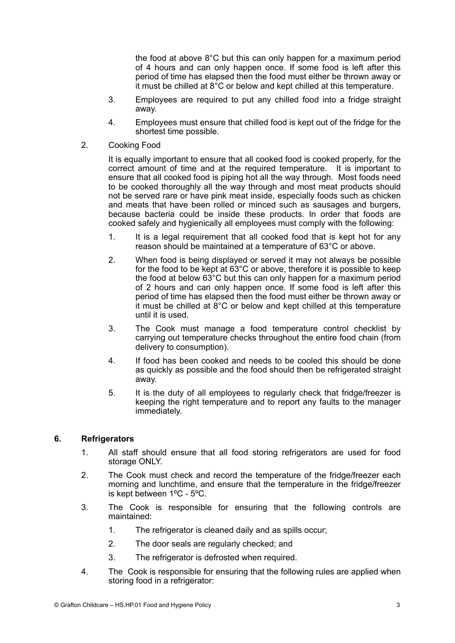the food at above 8°C but this can only happen for a maximum period of 4 hours and can only happen once. If some food is left after this period of time has elapsed then the food must either be thrown away or it must be chilled at 8°C or below and kept chilled at this temperature.

- 3. Employees are required to put any chilled food into a fridge straight away.
- 4. Employees must ensure that chilled food is kept out of the fridge for the shortest time possible.
- 2. Cooking Food

It is equally important to ensure that all cooked food is cooked properly, for the correct amount of time and at the required temperature. It is important to ensure that all cooked food is piping hot all the way through. Most foods need to be cooked thoroughly all the way through and most meat products should not be served rare or have pink meat inside, especially foods such as chicken and meats that have been rolled or minced such as sausages and burgers, because bacteria could be inside these products. In order that foods are cooked safely and hygienically all employees must comply with the following:

- 1. It is a legal requirement that all cooked food that is kept hot for any reason should be maintained at a temperature of 63°C or above.
- 2. When food is being displayed or served it may not always be possible for the food to be kept at 63°C or above, therefore it is possible to keep the food at below 63°C but this can only happen for a maximum period of 2 hours and can only happen once. If some food is left after this period of time has elapsed then the food must either be thrown away or it must be chilled at 8°C or below and kept chilled at this temperature until it is used.
- 3. The Cook must manage a food temperature control checklist by carrying out temperature checks throughout the entire food chain (from delivery to consumption).
- 4. If food has been cooked and needs to be cooled this should be done as quickly as possible and the food should then be refrigerated straight away.
- 5. It is the duty of all employees to regularly check that fridge/freezer is keeping the right temperature and to report any faults to the manager immediately.

# **6. Refrigerators**

- 1. All staff should ensure that all food storing refrigerators are used for food storage ONLY.
- 2. The Cook must check and record the temperature of the fridge/freezer each morning and lunchtime, and ensure that the temperature in the fridge/freezer is kept between 1ºC - 5ºC.
- 3. The Cook is responsible for ensuring that the following controls are maintained:
	- 1. The refrigerator is cleaned daily and as spills occur;
	- 2. The door seals are regularly checked; and
	- 3. The refrigerator is defrosted when required.
- 4. The Cook is responsible for ensuring that the following rules are applied when storing food in a refrigerator: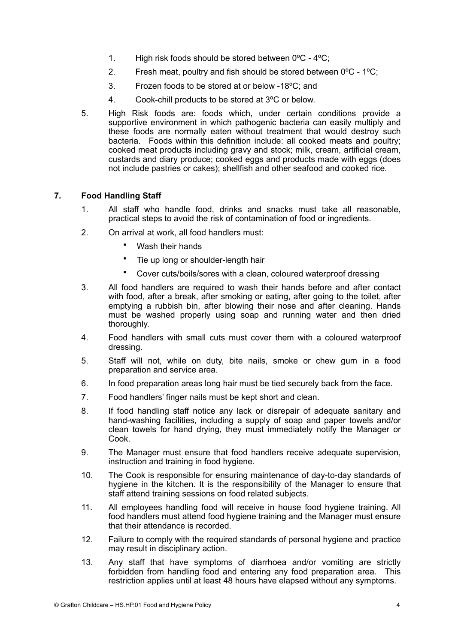- 1. High risk foods should be stored between 0ºC 4ºC;
- 2. Fresh meat, poultry and fish should be stored between 0ºC 1ºC;
- 3. Frozen foods to be stored at or below -18ºC; and
- 4. Cook-chill products to be stored at 3ºC or below.
- 5. High Risk foods are: foods which, under certain conditions provide a supportive environment in which pathogenic bacteria can easily multiply and these foods are normally eaten without treatment that would destroy such bacteria. Foods within this definition include: all cooked meats and poultry; cooked meat products including gravy and stock; milk, cream, artificial cream, custards and diary produce; cooked eggs and products made with eggs (does not include pastries or cakes); shellfish and other seafood and cooked rice.

# **7. Food Handling Staff**

- 1. All staff who handle food, drinks and snacks must take all reasonable, practical steps to avoid the risk of contamination of food or ingredients.
- 2. On arrival at work, all food handlers must:
	- Wash their hands
	- Tie up long or shoulder-length hair
	- Cover cuts/boils/sores with a clean, coloured waterproof dressing
- 3. All food handlers are required to wash their hands before and after contact with food, after a break, after smoking or eating, after going to the toilet, after emptying a rubbish bin, after blowing their nose and after cleaning. Hands must be washed properly using soap and running water and then dried thoroughly.
- 4. Food handlers with small cuts must cover them with a coloured waterproof dressing.
- 5. Staff will not, while on duty, bite nails, smoke or chew gum in a food preparation and service area.
- 6. In food preparation areas long hair must be tied securely back from the face.
- 7. Food handlers' finger nails must be kept short and clean.
- 8. If food handling staff notice any lack or disrepair of adequate sanitary and hand-washing facilities, including a supply of soap and paper towels and/or clean towels for hand drying, they must immediately notify the Manager or Cook.
- 9. The Manager must ensure that food handlers receive adequate supervision, instruction and training in food hygiene.
- 10. The Cook is responsible for ensuring maintenance of day-to-day standards of hygiene in the kitchen. It is the responsibility of the Manager to ensure that staff attend training sessions on food related subjects.
- 11. All employees handling food will receive in house food hygiene training. All food handlers must attend food hygiene training and the Manager must ensure that their attendance is recorded.
- 12. Failure to comply with the required standards of personal hygiene and practice may result in disciplinary action.
- 13. Any staff that have symptoms of diarrhoea and/or vomiting are strictly forbidden from handling food and entering any food preparation area. This restriction applies until at least 48 hours have elapsed without any symptoms.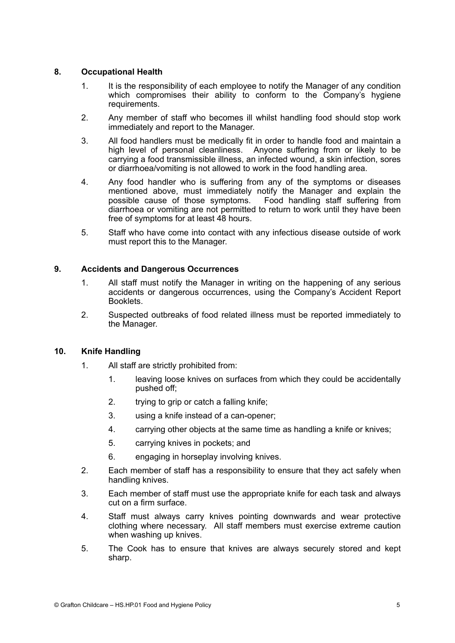## **8. Occupational Health**

- 1. It is the responsibility of each employee to notify the Manager of any condition which compromises their ability to conform to the Company's hygiene requirements.
- 2. Any member of staff who becomes ill whilst handling food should stop work immediately and report to the Manager.
- 3. All food handlers must be medically fit in order to handle food and maintain a high level of personal cleanliness. Anyone suffering from or likely to be carrying a food transmissible illness, an infected wound, a skin infection, sores or diarrhoea/vomiting is not allowed to work in the food handling area.
- 4. Any food handler who is suffering from any of the symptoms or diseases mentioned above, must immediately notify the Manager and explain the possible cause of those symptoms. Food handling staff suffering from diarrhoea or vomiting are not permitted to return to work until they have been free of symptoms for at least 48 hours.
- 5. Staff who have come into contact with any infectious disease outside of work must report this to the Manager.

## **9. Accidents and Dangerous Occurrences**

- 1. All staff must notify the Manager in writing on the happening of any serious accidents or dangerous occurrences, using the Company's Accident Report Booklets.
- 2. Suspected outbreaks of food related illness must be reported immediately to the Manager.

#### **10. Knife Handling**

- 1. All staff are strictly prohibited from:
	- 1. leaving loose knives on surfaces from which they could be accidentally pushed off;
	- 2. trying to grip or catch a falling knife;
	- 3. using a knife instead of a can-opener;
	- 4. carrying other objects at the same time as handling a knife or knives;
	- 5. carrying knives in pockets; and
	- 6. engaging in horseplay involving knives.
- 2. Each member of staff has a responsibility to ensure that they act safely when handling knives.
- 3. Each member of staff must use the appropriate knife for each task and always cut on a firm surface.
- 4. Staff must always carry knives pointing downwards and wear protective clothing where necessary. All staff members must exercise extreme caution when washing up knives.
- 5. The Cook has to ensure that knives are always securely stored and kept sharp.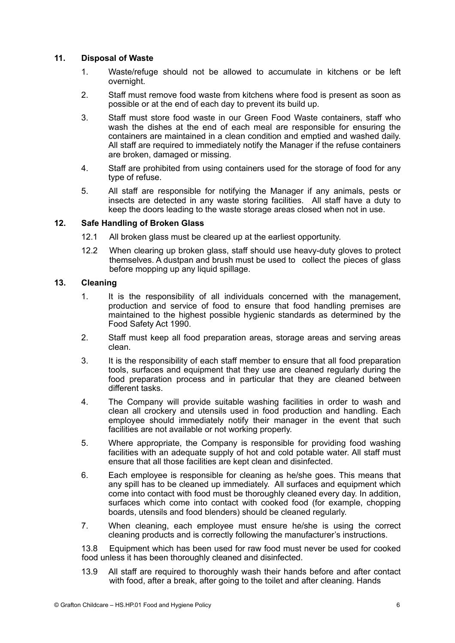## **11. Disposal of Waste**

- 1. Waste/refuge should not be allowed to accumulate in kitchens or be left overnight.
- 2. Staff must remove food waste from kitchens where food is present as soon as possible or at the end of each day to prevent its build up.
- 3. Staff must store food waste in our Green Food Waste containers, staff who wash the dishes at the end of each meal are responsible for ensuring the containers are maintained in a clean condition and emptied and washed daily. All staff are required to immediately notify the Manager if the refuse containers are broken, damaged or missing.
- 4. Staff are prohibited from using containers used for the storage of food for any type of refuse.
- 5. All staff are responsible for notifying the Manager if any animals, pests or insects are detected in any waste storing facilities. All staff have a duty to keep the doors leading to the waste storage areas closed when not in use.

## **12. Safe Handling of Broken Glass**

- 12.1 All broken glass must be cleared up at the earliest opportunity.
- 12.2 When clearing up broken glass, staff should use heavy-duty gloves to protect themselves. A dustpan and brush must be used to collect the pieces of glass before mopping up any liquid spillage.

# **13. Cleaning**

- 1. It is the responsibility of all individuals concerned with the management, production and service of food to ensure that food handling premises are maintained to the highest possible hygienic standards as determined by the Food Safety Act 1990.
- 2. Staff must keep all food preparation areas, storage areas and serving areas clean.
- 3. It is the responsibility of each staff member to ensure that all food preparation tools, surfaces and equipment that they use are cleaned regularly during the food preparation process and in particular that they are cleaned between different tasks.
- 4. The Company will provide suitable washing facilities in order to wash and clean all crockery and utensils used in food production and handling. Each employee should immediately notify their manager in the event that such facilities are not available or not working properly.
- 5. Where appropriate, the Company is responsible for providing food washing facilities with an adequate supply of hot and cold potable water. All staff must ensure that all those facilities are kept clean and disinfected.
- 6. Each employee is responsible for cleaning as he/she goes. This means that any spill has to be cleaned up immediately. All surfaces and equipment which come into contact with food must be thoroughly cleaned every day. In addition, surfaces which come into contact with cooked food (for example, chopping boards, utensils and food blenders) should be cleaned regularly.
- 7. When cleaning, each employee must ensure he/she is using the correct cleaning products and is correctly following the manufacturer's instructions.

 13.8 Equipment which has been used for raw food must never be used for cooked food unless it has been thoroughly cleaned and disinfected.

13.9 All staff are required to thoroughly wash their hands before and after contact with food, after a break, after going to the toilet and after cleaning. Hands